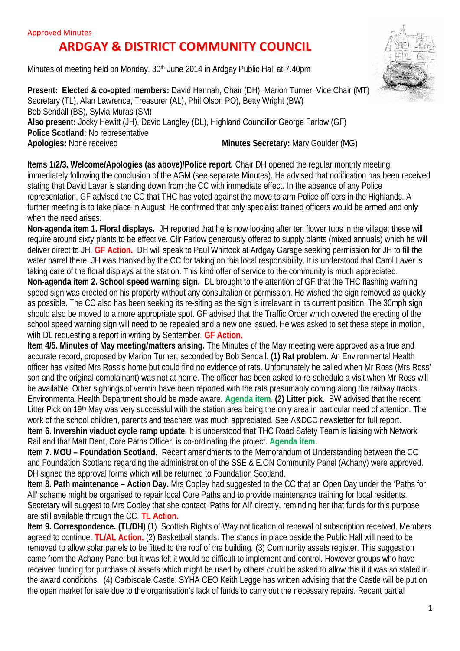## **ARDGAY & DISTRICT COMMUNITY COUNCIL**

Minutes of meeting held on Monday, 30th June 2014 in Ardgay Public Hall at 7.40pm



**Items 1/2/3. Welcome/Apologies (as above)/Police report.** Chair DH opened the regular monthly meeting immediately following the conclusion of the AGM (see separate Minutes). He advised that notification has been received stating that David Laver is standing down from the CC with immediate effect. In the absence of any Police representation, GF advised the CC that THC has voted against the move to arm Police officers in the Highlands. A further meeting is to take place in August. He confirmed that only specialist trained officers would be armed and only when the need arises.

**Non-agenda item 1. Floral displays.** JH reported that he is now looking after ten flower tubs in the village; these will require around sixty plants to be effective. Cllr Farlow generously offered to supply plants (mixed annuals) which he will deliver direct to JH. **GF Action.** DH will speak to Paul Whittock at Ardgay Garage seeking permission for JH to fill the water barrel there. JH was thanked by the CC for taking on this local responsibility. It is understood that Carol Laver is taking care of the floral displays at the station. This kind offer of service to the community is much appreciated. **Non-agenda item 2. School speed warning sign.** DL brought to the attention of GF that the THC flashing warning speed sign was erected on his property without any consultation or permission. He wished the sign removed as quickly as possible. The CC also has been seeking its re-siting as the sign is irrelevant in its current position. The 30mph sign should also be moved to a more appropriate spot. GF advised that the Traffic Order which covered the erecting of the school speed warning sign will need to be repealed and a new one issued. He was asked to set these steps in motion, with DL requesting a report in writing by September. **GF Action.**

**Item 4/5. Minutes of May meeting/matters arising.** The Minutes of the May meeting were approved as a true and accurate record, proposed by Marion Turner; seconded by Bob Sendall. **(1) Rat problem.** An Environmental Health officer has visited Mrs Ross's home but could find no evidence of rats. Unfortunately he called when Mr Ross (Mrs Ross' son and the original complainant) was not at home. The officer has been asked to re-schedule a visit when Mr Ross will be available. Other sightings of vermin have been reported with the rats presumably coming along the railway tracks. Environmental Health Department should be made aware. **Agenda item. (2) Litter pick.** BW advised that the recent Litter Pick on 19<sup>th</sup> May was very successful with the station area being the only area in particular need of attention. The work of the school children, parents and teachers was much appreciated. See A&DCC newsletter for full report. **Item 6. Invershin viaduct cycle ramp update.** It is understood that THC Road Safety Team is liaising with Network Rail and that Matt Dent, Core Paths Officer, is co-ordinating the project. **Agenda item.**

**Item 7. MOU – Foundation Scotland.** Recent amendments to the Memorandum of Understanding between the CC and Foundation Scotland regarding the administration of the SSE & E.ON Community Panel (Achany) were approved. DH signed the approval forms which will be returned to Foundation Scotland.

**Item 8. Path maintenance – Action Day.** Mrs Copley had suggested to the CC that an Open Day under the 'Paths for All' scheme might be organised to repair local Core Paths and to provide maintenance training for local residents. Secretary will suggest to Mrs Copley that she contact 'Paths for All' directly, reminding her that funds for this purpose are still available through the CC. **TL Action.**

**Item 9. Correspondence. <b>(TL/DH)** (1) Scottish Rights of Way notification of renewal of subscription received. Members agreed to continue. **TL/AL Action.** (2) Basketball stands. The stands in place beside the Public Hall will need to be removed to allow solar panels to be fitted to the roof of the building. (3) Community assets register. This suggestion came from the Achany Panel but it was felt it would be difficult to implement and control. However groups who have received funding for purchase of assets which might be used by others could be asked to allow this if it was so stated in the award conditions. (4) Carbisdale Castle. SYHA CEO Keith Legge has written advising that the Castle will be put on the open market for sale due to the organisation's lack of funds to carry out the necessary repairs. Recent partial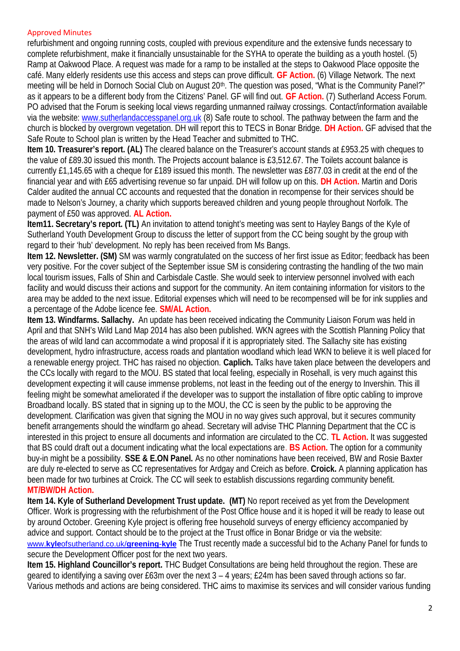## Approved Minutes

refurbishment and ongoing running costs, coupled with previous expenditure and the extensive funds necessary to complete refurbishment, make it financially unsustainable for the SYHA to operate the building as a youth hostel. (5) Ramp at Oakwood Place. A request was made for a ramp to be installed at the steps to Oakwood Place opposite the café. Many elderly residents use this access and steps can prove difficult. **GF Action.** (6) Village Network. The next meeting will be held in Dornoch Social Club on August 20<sup>th</sup>. The question was posed, "What is the Community Panel?" as it appears to be a different body from the Citizens' Panel. GF will find out. **GF Action.** (7) Sutherland Access Forum. PO advised that the Forum is seeking local views regarding unmanned railway crossings. Contact/information available via the website: www.sutherlandaccesspanel.org.uk (8) Safe route to school. The pathway between the farm and the church is blocked by overgrown vegetation. DH will report this to TECS in Bonar Bridge. **DH Action.** GF advised that the Safe Route to School plan is written by the Head Teacher and submitted to THC.

**Item 10. Treasurer's report. (AL)** The cleared balance on the Treasurer's account stands at £953.25 with cheques to the value of £89.30 issued this month. The Projects account balance is £3,512.67. The Toilets account balance is currently £1,145.65 with a cheque for £189 issued this month. The newsletter was £877.03 in credit at the end of the financial year and with £65 advertising revenue so far unpaid. DH will follow up on this. **DH Action.** Martin and Doris Calder audited the annual CC accounts and requested that the donation in recompense for their services should be made to Nelson's Journey, a charity which supports bereaved children and young people throughout Norfolk. The payment of £50 was approved. **AL Action.**

**Item11. Secretary's report. (TL)** An invitation to attend tonight's meeting was sent to Hayley Bangs of the Kyle of Sutherland Youth Development Group to discuss the letter of support from the CC being sought by the group with regard to their 'hub' development. No reply has been received from Ms Bangs.

**Item 12. Newsletter. (SM)** SM was warmly congratulated on the success of her first issue as Editor; feedback has been very positive. For the cover subject of the September issue SM is considering contrasting the handling of the two main local tourism issues, Falls of Shin and Carbisdale Castle. She would seek to interview personnel involved with each facility and would discuss their actions and support for the community. An item containing information for visitors to the area may be added to the next issue. Editorial expenses which will need to be recompensed will be for ink supplies and a percentage of the Adobe licence fee. **SM/AL Action.**

**Item 13. Windfarms. Sallachy.** An update has been received indicating the Community Liaison Forum was held in April and that SNH's Wild Land Map 2014 has also been published. WKN agrees with the Scottish Planning Policy that the areas of wild land can accommodate a wind proposal if it is appropriately sited. The Sallachy site has existing development, hydro infrastructure, access roads and plantation woodland which lead WKN to believe it is well placed for a renewable energy project. THC has raised no objection. **Caplich.** Talks have taken place between the developers and the CCs locally with regard to the MOU. BS stated that local feeling, especially in Rosehall, is very much against this development expecting it will cause immense problems, not least in the feeding out of the energy to Invershin. This ill feeling might be somewhat ameliorated if the developer was to support the installation of fibre optic cabling to improve Broadband locally. BS stated that in signing up to the MOU, the CC is seen by the public to be approving the development. Clarification was given that signing the MOU in no way gives such approval, but it secures community benefit arrangements should the windfarm go ahead. Secretary will advise THC Planning Department that the CC is interested in this project to ensure all documents and information are circulated to the CC. **TL Action.** It was suggested that BS could draft out a document indicating what the local expectations are. **BS Action.** The option for a community buy-in might be a possibility. **SSE & E.ON Panel.** As no other nominations have been received, BW and Rosie Baxter are duly re-elected to serve as CC representatives for Ardgay and Creich as before. **Croick.** A planning application has been made for two turbines at Croick. The CC will seek to establish discussions regarding community benefit. **MT/BW/DH Action.**

**Item 14. Kyle of Sutherland Development Trust update. (MT)** No report received as yet from the Development Officer. Work is progressing with the refurbishment of the Post Office house and it is hoped it will be ready to lease out by around October. Greening Kyle project is offering free household surveys of energy efficiency accompanied by advice and support. Contact should be to the project at the Trust office in Bonar Bridge or via the website: www.**kyle**ofsutherland.co.uk/**greening**-**kyle** The Trust recently made a successful bid to the Achany Panel for funds to secure the Development Officer post for the next two years.

**Item 15. Highland Councillor's report.** THC Budget Consultations are being held throughout the region. These are geared to identifying a saving over £63m over the next 3 – 4 years; £24m has been saved through actions so far. Various methods and actions are being considered. THC aims to maximise its services and will consider various funding